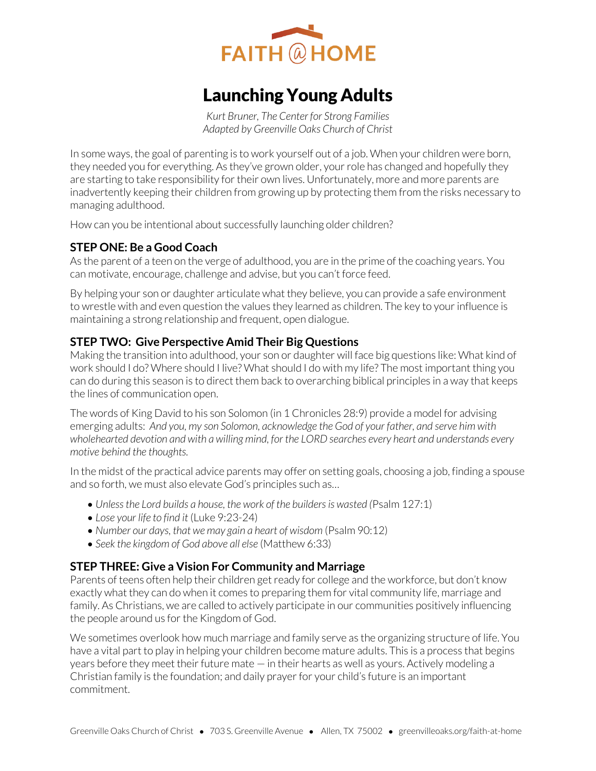

# Launching Young Adults

*Kurt Bruner, The Center for Strong Families Adapted by Greenville Oaks Church of Christ* 

In some ways, the goal of parenting is to work yourself out of a job. When your children were born, they needed you for everything. As they've grown older, your role has changed and hopefully they are starting to take responsibility for their own lives. Unfortunately, more and more parents are inadvertently keeping their children from growing up by protecting them from the risks necessary to managing adulthood.

How can you be intentional about successfully launching older children?

# **STEP ONE: Be a Good Coach**

As the parent of a teen on the verge of adulthood, you are in the prime of the coaching years. You can motivate, encourage, challenge and advise, but you can't force feed.

By helping your son or daughter articulate what they believe, you can provide a safe environment to wrestle with and even question the values they learned as children. The key to your influence is maintaining a strong relationship and frequent, open dialogue.

# **STEP TWO: Give Perspective Amid Their Big Questions**

Making the transition into adulthood, your son or daughter will face big questions like: What kind of work should I do? Where should I live? What should I do with my life? The most important thing you can do during this season is to direct them back to overarching biblical principles in a way that keeps the lines of communication open.

The words of King David to his son Solomon (in 1 Chronicles 28:9) provide a model for advising emerging adults: *And you, my son Solomon, acknowledge the God of your father, and serve him with wholehearted devotion and with a willing mind, for the LORD searches every heart and understands every motive behind the thoughts.* 

In the midst of the practical advice parents may offer on setting goals, choosing a job, finding a spouse and so forth, we must also elevate God's principles such as…

- *Unless the Lord builds a house, the work of the builders is wasted (*Psalm 127:1)
- *Lose your life to find it* (Luke 9:23-24)
- Number our days, that we may gain a heart of wisdom (Psalm 90:12)
- *Seek the kingdom of God above all else* (Matthew 6:33)

#### **STEP THREE: Give a Vision For Community and Marriage**

Parents of teens often help their children get ready for college and the workforce, but don't know exactly what they can do when it comes to preparing them for vital community life, marriage and family. As Christians, we are called to actively participate in our communities positively influencing the people around us for the Kingdom of God.

We sometimes overlook how much marriage and family serve as the organizing structure of life. You have a vital part to play in helping your children become mature adults. This is a process that begins years before they meet their future mate — in their hearts as well as yours. Actively modeling a Christian family is the foundation; and daily prayer for your child's future is an important commitment.